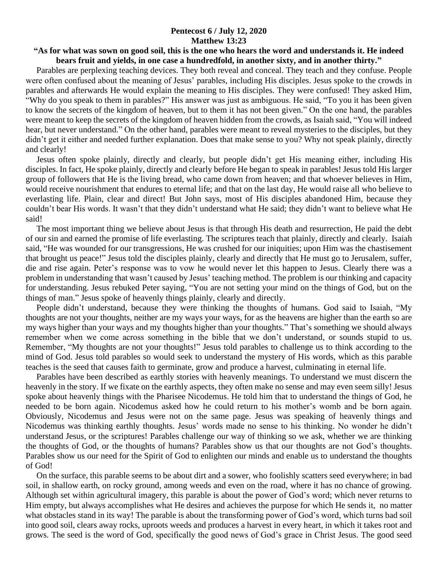## **Pentecost 6 / July 12, 2020 Matthew 13:23**

## **"As for what was sown on good soil, this is the one who hears the word and understands it. He indeed bears fruit and yields, in one case a hundredfold, in another sixty, and in another thirty."**

 Parables are perplexing teaching devices. They both reveal and conceal. They teach and they confuse. People were often confused about the meaning of Jesus' parables, including His disciples. Jesus spoke to the crowds in parables and afterwards He would explain the meaning to His disciples. They were confused! They asked Him, "Why do you speak to them in parables?" His answer was just as ambiguous. He said, "To you it has been given to know the secrets of the kingdom of heaven, but to them it has not been given." On the one hand, the parables were meant to keep the secrets of the kingdom of heaven hidden from the crowds, as Isaiah said, "You will indeed hear, but never understand." On the other hand, parables were meant to reveal mysteries to the disciples, but they didn't get it either and needed further explanation. Does that make sense to you? Why not speak plainly, directly and clearly!

 Jesus often spoke plainly, directly and clearly, but people didn't get His meaning either, including His disciples. In fact, He spoke plainly, directly and clearly before He began to speak in parables! Jesus told His larger group of followers that He is the living bread, who came down from heaven; and that whoever believes in Him, would receive nourishment that endures to eternal life; and that on the last day, He would raise all who believe to everlasting life. Plain, clear and direct! But John says, most of His disciples abandoned Him, because they couldn't bear His words. It wasn't that they didn't understand what He said; they didn't want to believe what He said!

 The most important thing we believe about Jesus is that through His death and resurrection, He paid the debt of our sin and earned the promise of life everlasting. The scriptures teach that plainly, directly and clearly. Isaiah said, "He was wounded for our transgressions, He was crushed for our iniquities; upon Him was the chastisement that brought us peace!" Jesus told the disciples plainly, clearly and directly that He must go to Jerusalem, suffer, die and rise again. Peter's response was to vow he would never let this happen to Jesus. Clearly there was a problem in understanding that wasn't caused by Jesus' teaching method. The problem is our thinking and capacity for understanding. Jesus rebuked Peter saying, "You are not setting your mind on the things of God, but on the things of man." Jesus spoke of heavenly things plainly, clearly and directly.

 People didn't understand, because they were thinking the thoughts of humans. God said to Isaiah, "My thoughts are not your thoughts, neither are my ways your ways, for as the heavens are higher than the earth so are my ways higher than your ways and my thoughts higher than your thoughts." That's something we should always remember when we come across something in the bible that we don't understand, or sounds stupid to us. Remember, "My thoughts are not your thoughts!" Jesus told parables to challenge us to think according to the mind of God. Jesus told parables so would seek to understand the mystery of His words, which as this parable teaches is the seed that causes faith to germinate, grow and produce a harvest, culminating in eternal life.

 Parables have been described as earthly stories with heavenly meanings. To understand we must discern the heavenly in the story. If we fixate on the earthly aspects, they often make no sense and may even seem silly! Jesus spoke about heavenly things with the Pharisee Nicodemus. He told him that to understand the things of God, he needed to be born again. Nicodemus asked how he could return to his mother's womb and be born again. Obviously, Nicodemus and Jesus were not on the same page. Jesus was speaking of heavenly things and Nicodemus was thinking earthly thoughts. Jesus' words made no sense to his thinking. No wonder he didn't understand Jesus, or the scriptures! Parables challenge our way of thinking so we ask, whether we are thinking the thoughts of God, or the thoughts of humans? Parables show us that our thoughts are not God's thoughts. Parables show us our need for the Spirit of God to enlighten our minds and enable us to understand the thoughts of God!

 On the surface, this parable seems to be about dirt and a sower, who foolishly scatters seed everywhere; in bad soil, in shallow earth, on rocky ground, among weeds and even on the road, where it has no chance of growing. Although set within agricultural imagery, this parable is about the power of God's word; which never returns to Him empty, but always accomplishes what He desires and achieves the purpose for which He sends it, no matter what obstacles stand in its way! The parable is about the transforming power of God's word, which turns bad soil into good soil, clears away rocks, uproots weeds and produces a harvest in every heart, in which it takes root and grows. The seed is the word of God, specifically the good news of God's grace in Christ Jesus. The good seed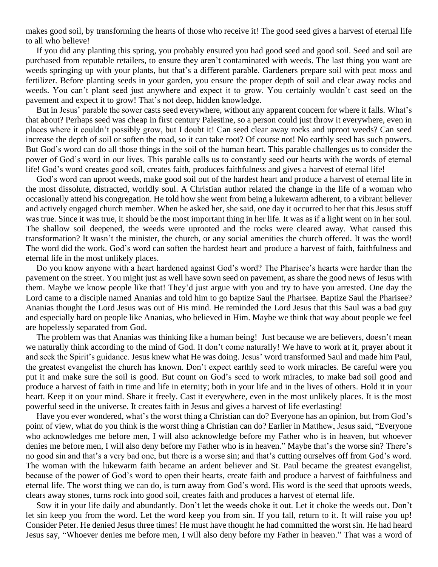makes good soil, by transforming the hearts of those who receive it! The good seed gives a harvest of eternal life to all who believe!

 If you did any planting this spring, you probably ensured you had good seed and good soil. Seed and soil are purchased from reputable retailers, to ensure they aren't contaminated with weeds. The last thing you want are weeds springing up with your plants, but that's a different parable. Gardeners prepare soil with peat moss and fertilizer. Before planting seeds in your garden, you ensure the proper depth of soil and clear away rocks and weeds. You can't plant seed just anywhere and expect it to grow. You certainly wouldn't cast seed on the pavement and expect it to grow! That's not deep, hidden knowledge.

 But in Jesus' parable the sower casts seed everywhere, without any apparent concern for where it falls. What's that about? Perhaps seed was cheap in first century Palestine, so a person could just throw it everywhere, even in places where it couldn't possibly grow, but I doubt it! Can seed clear away rocks and uproot weeds? Can seed increase the depth of soil or soften the road, so it can take root? Of course not! No earthly seed has such powers. But God's word can do all those things in the soil of the human heart. This parable challenges us to consider the power of God's word in our lives. This parable calls us to constantly seed our hearts with the words of eternal life! God's word creates good soil, creates faith, produces faithfulness and gives a harvest of eternal life!

 God's word can uproot weeds, make good soil out of the hardest heart and produce a harvest of eternal life in the most dissolute, distracted, worldly soul. A Christian author related the change in the life of a woman who occasionally attend his congregation. He told how she went from being a lukewarm adherent, to a vibrant believer and actively engaged church member. When he asked her, she said, one day it occurred to her that this Jesus stuff was true. Since it was true, it should be the most important thing in her life. It was as if a light went on in her soul. The shallow soil deepened, the weeds were uprooted and the rocks were cleared away. What caused this transformation? It wasn't the minister, the church, or any social amenities the church offered. It was the word! The word did the work. God's word can soften the hardest heart and produce a harvest of faith, faithfulness and eternal life in the most unlikely places.

 Do you know anyone with a heart hardened against God's word? The Pharisee's hearts were harder than the pavement on the street. You might just as well have sown seed on pavement, as share the good news of Jesus with them. Maybe we know people like that! They'd just argue with you and try to have you arrested. One day the Lord came to a disciple named Ananias and told him to go baptize Saul the Pharisee. Baptize Saul the Pharisee? Ananias thought the Lord Jesus was out of His mind. He reminded the Lord Jesus that this Saul was a bad guy and especially hard on people like Ananias, who believed in Him. Maybe we think that way about people we feel are hopelessly separated from God.

 The problem was that Ananias was thinking like a human being! Just because we are believers, doesn't mean we naturally think according to the mind of God. It don't come naturally! We have to work at it, prayer about it and seek the Spirit's guidance. Jesus knew what He was doing. Jesus' word transformed Saul and made him Paul, the greatest evangelist the church has known. Don't expect earthly seed to work miracles. Be careful were you put it and make sure the soil is good. But count on God's seed to work miracles, to make bad soil good and produce a harvest of faith in time and life in eternity; both in your life and in the lives of others. Hold it in your heart. Keep it on your mind. Share it freely. Cast it everywhere, even in the most unlikely places. It is the most powerful seed in the universe. It creates faith in Jesus and gives a harvest of life everlasting!

 Have you ever wondered, what's the worst thing a Christian can do? Everyone has an opinion, but from God's point of view, what do you think is the worst thing a Christian can do? Earlier in Matthew, Jesus said, "Everyone who acknowledges me before men, I will also acknowledge before my Father who is in heaven, but whoever denies me before men, I will also deny before my Father who is in heaven." Maybe that's the worse sin? There's no good sin and that's a very bad one, but there is a worse sin; and that's cutting ourselves off from God's word. The woman with the lukewarm faith became an ardent believer and St. Paul became the greatest evangelist, because of the power of God's word to open their hearts, create faith and produce a harvest of faithfulness and eternal life. The worst thing we can do, is turn away from God's word. His word is the seed that uproots weeds, clears away stones, turns rock into good soil, creates faith and produces a harvest of eternal life.

 Sow it in your life daily and abundantly. Don't let the weeds choke it out. Let it choke the weeds out. Don't let sin keep you from the word. Let the word keep you from sin. If you fall, return to it. It will raise you up! Consider Peter. He denied Jesus three times! He must have thought he had committed the worst sin. He had heard Jesus say, "Whoever denies me before men, I will also deny before my Father in heaven." That was a word of